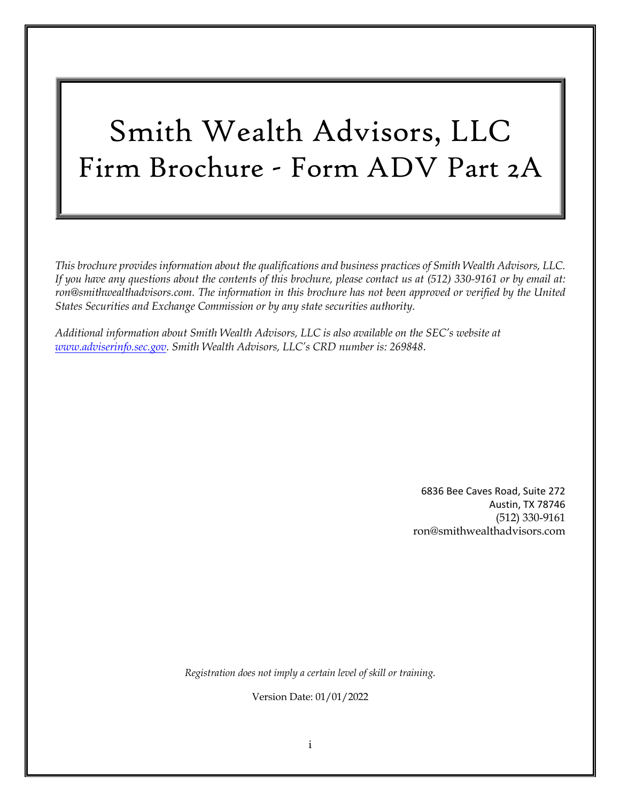# Smith Wealth Advisors, LLC Firm Brochure - Form ADV Part 2A

*This brochure provides information about the qualifications and business practices of Smith Wealth Advisors, LLC. If you have any questions about the contents of this brochure, please contact us at (512) 330-9161 or by email at:*  ron@smithwealthadvisors.com. The information in this brochure has not been approved or verified by the United *States Securities and Exchange Commission or by any state securities authority.*

*Additional information about Smith Wealth Advisors, LLC is also available on the SEC's website at www.adviserinfo.sec.gov. Smith Wealth Advisors, LLC's CRD number is: 269848*.

> 6836 Bee Caves Road, Suite 272 Austin, TX 78746 (512) 330-9161 ron@smithwealthadvisors.com

*Registration does not imply a certain level of skill or training.*

Version Date: 01/01/2022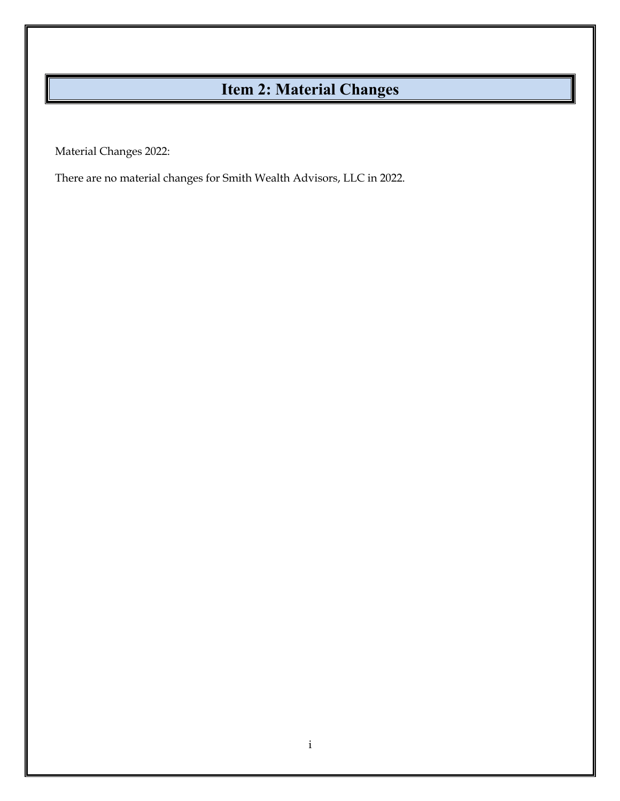# **Item 2: Material Changes**

Material Changes 2022:

There are no material changes for Smith Wealth Advisors, LLC in 2022.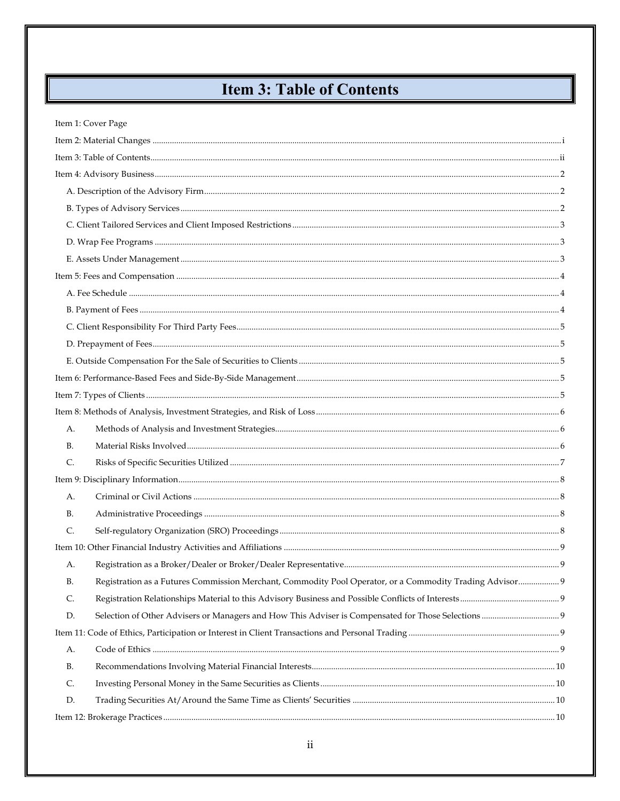# **Item 3: Table of Contents**

|       | Item 1: Cover Page                                                                                       |  |  |  |  |
|-------|----------------------------------------------------------------------------------------------------------|--|--|--|--|
|       |                                                                                                          |  |  |  |  |
|       |                                                                                                          |  |  |  |  |
|       |                                                                                                          |  |  |  |  |
|       |                                                                                                          |  |  |  |  |
|       |                                                                                                          |  |  |  |  |
|       |                                                                                                          |  |  |  |  |
|       |                                                                                                          |  |  |  |  |
|       |                                                                                                          |  |  |  |  |
|       |                                                                                                          |  |  |  |  |
|       |                                                                                                          |  |  |  |  |
|       |                                                                                                          |  |  |  |  |
|       |                                                                                                          |  |  |  |  |
|       |                                                                                                          |  |  |  |  |
|       |                                                                                                          |  |  |  |  |
|       |                                                                                                          |  |  |  |  |
|       |                                                                                                          |  |  |  |  |
|       |                                                                                                          |  |  |  |  |
| А.    |                                                                                                          |  |  |  |  |
| В.    |                                                                                                          |  |  |  |  |
| C.    |                                                                                                          |  |  |  |  |
|       |                                                                                                          |  |  |  |  |
| А.    |                                                                                                          |  |  |  |  |
| В.    |                                                                                                          |  |  |  |  |
| $C$ . |                                                                                                          |  |  |  |  |
|       |                                                                                                          |  |  |  |  |
| А.    |                                                                                                          |  |  |  |  |
| В.    | Registration as a Futures Commission Merchant, Commodity Pool Operator, or a Commodity Trading Advisor 9 |  |  |  |  |
| C.    |                                                                                                          |  |  |  |  |
| D.    |                                                                                                          |  |  |  |  |
|       |                                                                                                          |  |  |  |  |
| А.    |                                                                                                          |  |  |  |  |
| В.    |                                                                                                          |  |  |  |  |
| C.    |                                                                                                          |  |  |  |  |
| D.    |                                                                                                          |  |  |  |  |
|       |                                                                                                          |  |  |  |  |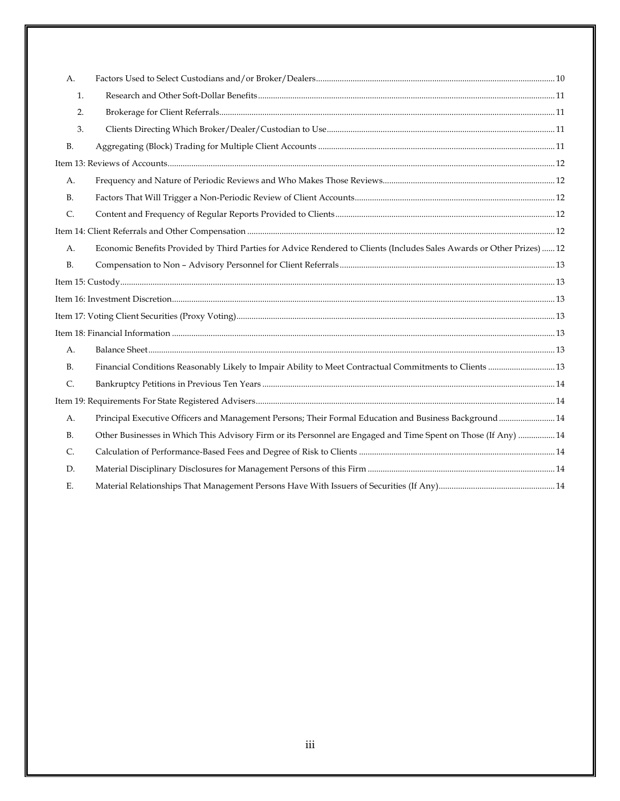| A.             |                                                                                                                       |  |
|----------------|-----------------------------------------------------------------------------------------------------------------------|--|
| 1.             |                                                                                                                       |  |
| 2.             |                                                                                                                       |  |
| 3.             |                                                                                                                       |  |
| <b>B.</b>      |                                                                                                                       |  |
|                |                                                                                                                       |  |
| A.             |                                                                                                                       |  |
| B <sub>r</sub> |                                                                                                                       |  |
| C.             |                                                                                                                       |  |
|                |                                                                                                                       |  |
| A.             | Economic Benefits Provided by Third Parties for Advice Rendered to Clients (Includes Sales Awards or Other Prizes) 12 |  |
| B <sub>1</sub> |                                                                                                                       |  |
|                |                                                                                                                       |  |
|                |                                                                                                                       |  |
|                |                                                                                                                       |  |
|                |                                                                                                                       |  |
| A.             |                                                                                                                       |  |
| <b>B.</b>      | Financial Conditions Reasonably Likely to Impair Ability to Meet Contractual Commitments to Clients  13               |  |
| C.             |                                                                                                                       |  |
|                |                                                                                                                       |  |
| A.             | Principal Executive Officers and Management Persons; Their Formal Education and Business Background  14               |  |
| <b>B.</b>      | Other Businesses in Which This Advisory Firm or its Personnel are Engaged and Time Spent on Those (If Any)  14        |  |
| C.             |                                                                                                                       |  |
| D.             |                                                                                                                       |  |
| Ε.             |                                                                                                                       |  |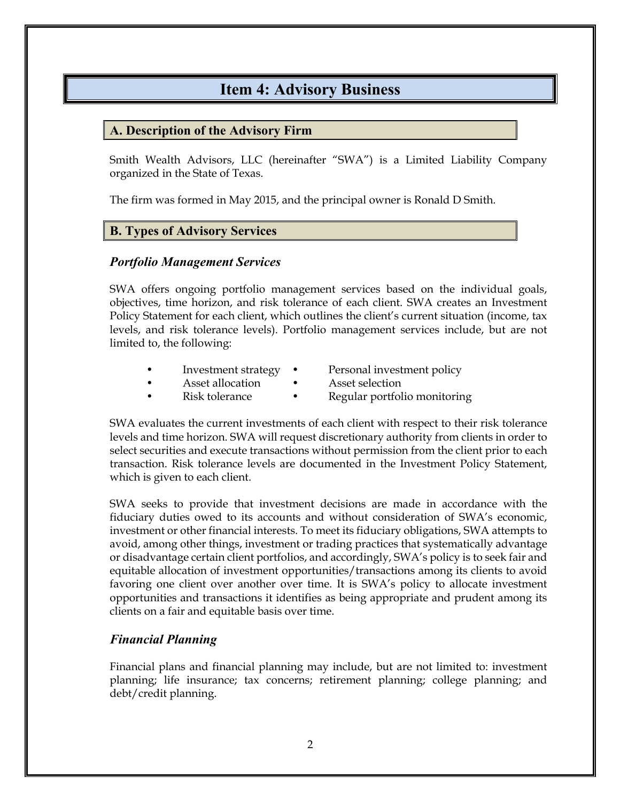## **Item 4: Advisory Business**

#### **A. Description of the Advisory Firm**

Smith Wealth Advisors, LLC (hereinafter "SWA") is a Limited Liability Company organized in the State of Texas.

The firm was formed in May 2015, and the principal owner is Ronald D Smith.

#### **B. Types of Advisory Services**

#### *Portfolio Management Services*

SWA offers ongoing portfolio management services based on the individual goals, objectives, time horizon, and risk tolerance of each client. SWA creates an Investment Policy Statement for each client, which outlines the client's current situation (income, tax levels, and risk tolerance levels). Portfolio management services include, but are not limited to, the following:

|  | Investment strategy |  | Personal investment policy |
|--|---------------------|--|----------------------------|
|--|---------------------|--|----------------------------|

- Asset allocation Asset selection
- 
- - Risk tolerance Regular portfolio monitoring

SWA evaluates the current investments of each client with respect to their risk tolerance levels and time horizon. SWA will request discretionary authority from clients in order to select securities and execute transactions without permission from the client prior to each transaction. Risk tolerance levels are documented in the Investment Policy Statement, which is given to each client.

SWA seeks to provide that investment decisions are made in accordance with the fiduciary duties owed to its accounts and without consideration of SWA's economic, investment or other financial interests. To meet its fiduciary obligations, SWA attempts to avoid, among other things, investment or trading practices that systematically advantage or disadvantage certain client portfolios, and accordingly, SWA's policy is to seek fair and equitable allocation of investment opportunities/transactions among its clients to avoid favoring one client over another over time. It is SWA's policy to allocate investment opportunities and transactions it identifies as being appropriate and prudent among its clients on a fair and equitable basis over time.

#### *Financial Planning*

Financial plans and financial planning may include, but are not limited to: investment planning; life insurance; tax concerns; retirement planning; college planning; and debt/credit planning.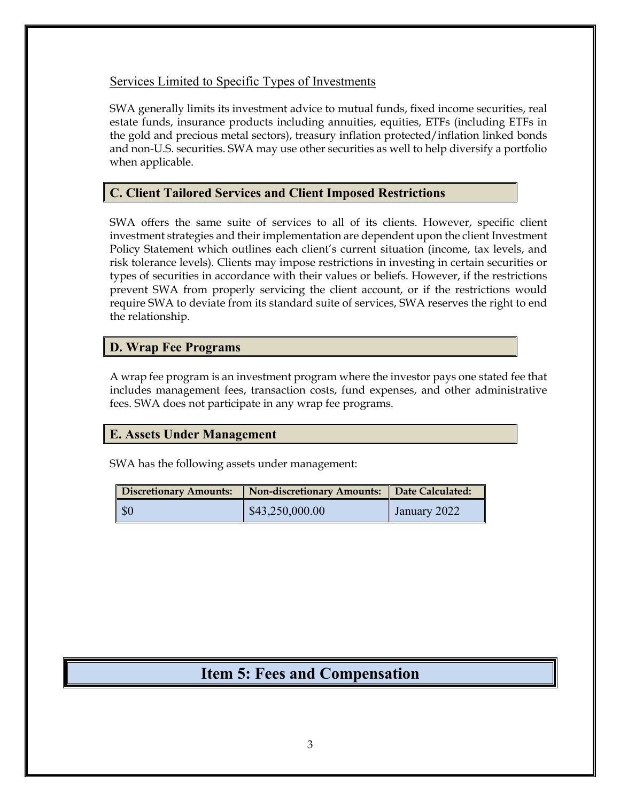#### Services Limited to Specific Types of Investments

SWA generally limits its investment advice to mutual funds, fixed income securities, real estate funds, insurance products including annuities, equities, ETFs (including ETFs in the gold and precious metal sectors), treasury inflation protected/inflation linked bonds and non-U.S. securities. SWA may use other securities as well to help diversify a portfolio when applicable.

#### **C. Client Tailored Services and Client Imposed Restrictions**

SWA offers the same suite of services to all of its clients. However, specific client investment strategies and their implementation are dependent upon the client Investment Policy Statement which outlines each client's current situation (income, tax levels, and risk tolerance levels). Clients may impose restrictions in investing in certain securities or types of securities in accordance with their values or beliefs. However, if the restrictions prevent SWA from properly servicing the client account, or if the restrictions would require SWA to deviate from its standard suite of services, SWA reserves the right to end the relationship.

#### **D. Wrap Fee Programs**

A wrap fee program is an investment program where the investor pays one stated fee that includes management fees, transaction costs, fund expenses, and other administrative fees. SWA does not participate in any wrap fee programs.

#### **E. Assets Under Management**

SWA has the following assets under management:

| <b>Discretionary Amounts:</b> | <b>Non-discretionary Amounts:</b> | Date Calculated: |
|-------------------------------|-----------------------------------|------------------|
| <b>SO</b>                     | $\$\,43,250,000.00$               | January 2022     |

## **Item 5: Fees and Compensation**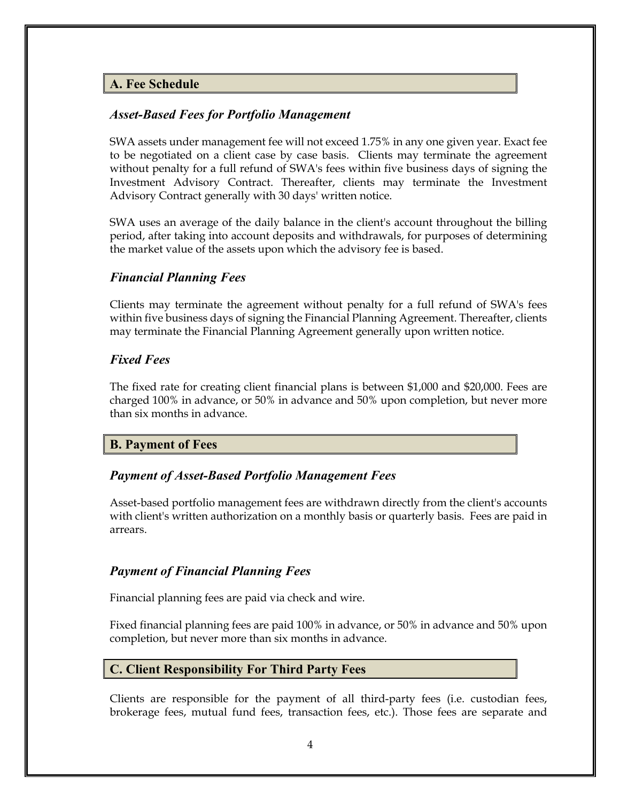#### **A. Fee Schedule**

#### *Asset-Based Fees for Portfolio Management*

SWA assets under management fee will not exceed 1.75% in any one given year. Exact fee to be negotiated on a client case by case basis. Clients may terminate the agreement without penalty for a full refund of SWA's fees within five business days of signing the Investment Advisory Contract. Thereafter, clients may terminate the Investment Advisory Contract generally with 30 days' written notice.

SWA uses an average of the daily balance in the client's account throughout the billing period, after taking into account deposits and withdrawals, for purposes of determining the market value of the assets upon which the advisory fee is based.

#### *Financial Planning Fees*

Clients may terminate the agreement without penalty for a full refund of SWA's fees within five business days of signing the Financial Planning Agreement. Thereafter, clients may terminate the Financial Planning Agreement generally upon written notice.

#### *Fixed Fees*

The fixed rate for creating client financial plans is between \$1,000 and \$20,000. Fees are charged 100% in advance, or 50% in advance and 50% upon completion, but never more than six months in advance.

#### **B. Payment of Fees**

#### *Payment of Asset-Based Portfolio Management Fees*

Asset-based portfolio management fees are withdrawn directly from the client's accounts with client's written authorization on a monthly basis or quarterly basis. Fees are paid in arrears.

#### *Payment of Financial Planning Fees*

Financial planning fees are paid via check and wire.

Fixed financial planning fees are paid 100% in advance, or 50% in advance and 50% upon completion, but never more than six months in advance.

#### **C. Client Responsibility For Third Party Fees**

Clients are responsible for the payment of all third-party fees (i.e. custodian fees, brokerage fees, mutual fund fees, transaction fees, etc.). Those fees are separate and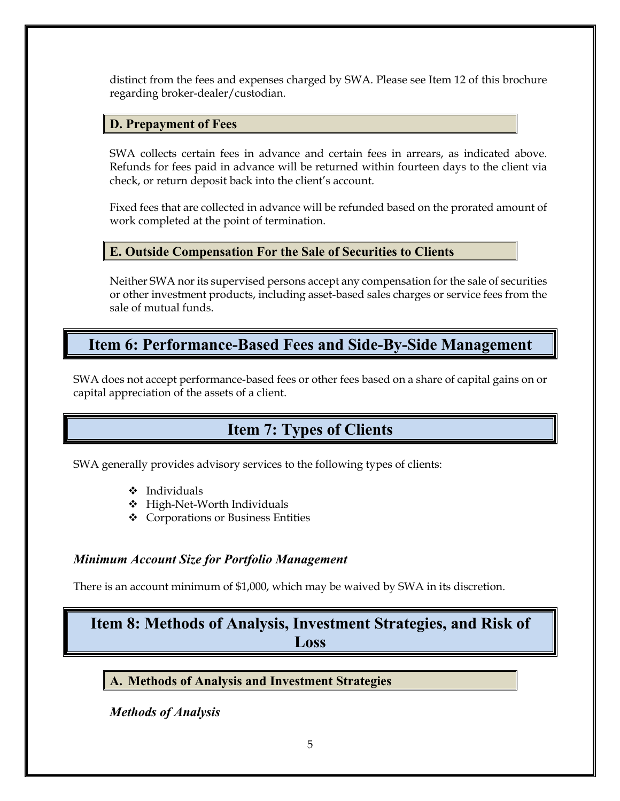distinct from the fees and expenses charged by SWA. Please see Item 12 of this brochure regarding broker-dealer/custodian.

#### **D. Prepayment of Fees**

SWA collects certain fees in advance and certain fees in arrears, as indicated above. Refunds for fees paid in advance will be returned within fourteen days to the client via check, or return deposit back into the client's account.

Fixed fees that are collected in advance will be refunded based on the prorated amount of work completed at the point of termination.

#### **E. Outside Compensation For the Sale of Securities to Clients**

Neither SWA nor its supervised persons accept any compensation for the sale of securities or other investment products, including asset-based sales charges or service fees from the sale of mutual funds.

## **Item 6: Performance-Based Fees and Side-By-Side Management**

SWA does not accept performance-based fees or other fees based on a share of capital gains on or capital appreciation of the assets of a client.

# **Item 7: Types of Clients**

SWA generally provides advisory services to the following types of clients:

- $\triangle$  Individuals
- $\div$  High-Net-Worth Individuals
- v Corporations or Business Entities

#### *Minimum Account Size for Portfolio Management*

There is an account minimum of \$1,000, which may be waived by SWA in its discretion.

# **Item 8: Methods of Analysis, Investment Strategies, and Risk of Loss**

**A. Methods of Analysis and Investment Strategies**

*Methods of Analysis*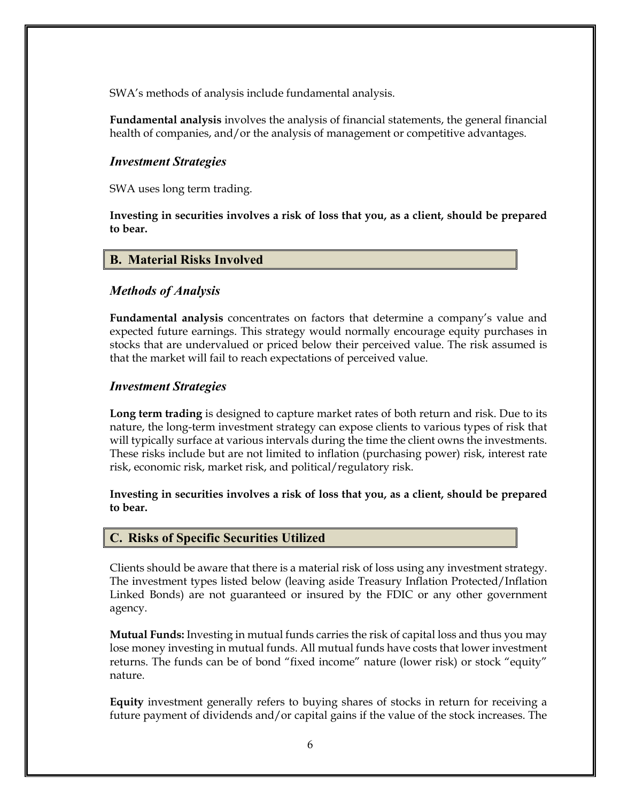SWA's methods of analysis include fundamental analysis.

**Fundamental analysis** involves the analysis of financial statements, the general financial health of companies, and/or the analysis of management or competitive advantages.

#### *Investment Strategies*

SWA uses long term trading.

**Investing in securities involves a risk of loss that you, as a client, should be prepared to bear.**

#### **B. Material Risks Involved**

#### *Methods of Analysis*

**Fundamental analysis** concentrates on factors that determine a company's value and expected future earnings. This strategy would normally encourage equity purchases in stocks that are undervalued or priced below their perceived value. The risk assumed is that the market will fail to reach expectations of perceived value.

#### *Investment Strategies*

**Long term trading** is designed to capture market rates of both return and risk. Due to its nature, the long-term investment strategy can expose clients to various types of risk that will typically surface at various intervals during the time the client owns the investments. These risks include but are not limited to inflation (purchasing power) risk, interest rate risk, economic risk, market risk, and political/regulatory risk.

#### **Investing in securities involves a risk of loss that you, as a client, should be prepared to bear.**

#### **C. Risks of Specific Securities Utilized**

Clients should be aware that there is a material risk of loss using any investment strategy. The investment types listed below (leaving aside Treasury Inflation Protected/Inflation Linked Bonds) are not guaranteed or insured by the FDIC or any other government agency.

**Mutual Funds:** Investing in mutual funds carries the risk of capital loss and thus you may lose money investing in mutual funds. All mutual funds have costs that lower investment returns. The funds can be of bond "fixed income" nature (lower risk) or stock "equity" nature.

**Equity** investment generally refers to buying shares of stocks in return for receiving a future payment of dividends and/or capital gains if the value of the stock increases. The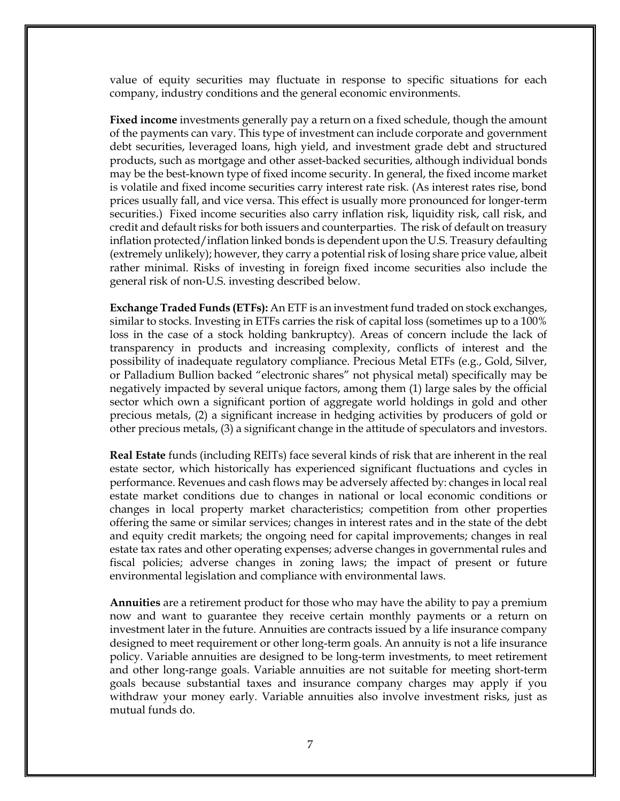value of equity securities may fluctuate in response to specific situations for each company, industry conditions and the general economic environments.

**Fixed income** investments generally pay a return on a fixed schedule, though the amount of the payments can vary. This type of investment can include corporate and government debt securities, leveraged loans, high yield, and investment grade debt and structured products, such as mortgage and other asset-backed securities, although individual bonds may be the best-known type of fixed income security. In general, the fixed income market is volatile and fixed income securities carry interest rate risk. (As interest rates rise, bond prices usually fall, and vice versa. This effect is usually more pronounced for longer-term securities.) Fixed income securities also carry inflation risk, liquidity risk, call risk, and credit and default risks for both issuers and counterparties. The risk of default on treasury inflation protected/inflation linked bonds is dependent upon the U.S. Treasury defaulting (extremely unlikely); however, they carry a potential risk of losing share price value, albeit rather minimal. Risks of investing in foreign fixed income securities also include the general risk of non-U.S. investing described below.

**Exchange Traded Funds (ETFs):** An ETF is an investment fund traded on stock exchanges, similar to stocks. Investing in ETFs carries the risk of capital loss (sometimes up to a 100% loss in the case of a stock holding bankruptcy). Areas of concern include the lack of transparency in products and increasing complexity, conflicts of interest and the possibility of inadequate regulatory compliance. Precious Metal ETFs (e.g., Gold, Silver, or Palladium Bullion backed "electronic shares" not physical metal) specifically may be negatively impacted by several unique factors, among them (1) large sales by the official sector which own a significant portion of aggregate world holdings in gold and other precious metals, (2) a significant increase in hedging activities by producers of gold or other precious metals, (3) a significant change in the attitude of speculators and investors.

**Real Estate** funds (including REITs) face several kinds of risk that are inherent in the real estate sector, which historically has experienced significant fluctuations and cycles in performance. Revenues and cash flows may be adversely affected by: changes in local real estate market conditions due to changes in national or local economic conditions or changes in local property market characteristics; competition from other properties offering the same or similar services; changes in interest rates and in the state of the debt and equity credit markets; the ongoing need for capital improvements; changes in real estate tax rates and other operating expenses; adverse changes in governmental rules and fiscal policies; adverse changes in zoning laws; the impact of present or future environmental legislation and compliance with environmental laws.

**Annuities** are a retirement product for those who may have the ability to pay a premium now and want to guarantee they receive certain monthly payments or a return on investment later in the future. Annuities are contracts issued by a life insurance company designed to meet requirement or other long-term goals. An annuity is not a life insurance policy. Variable annuities are designed to be long-term investments, to meet retirement and other long-range goals. Variable annuities are not suitable for meeting short-term goals because substantial taxes and insurance company charges may apply if you withdraw your money early. Variable annuities also involve investment risks, just as mutual funds do.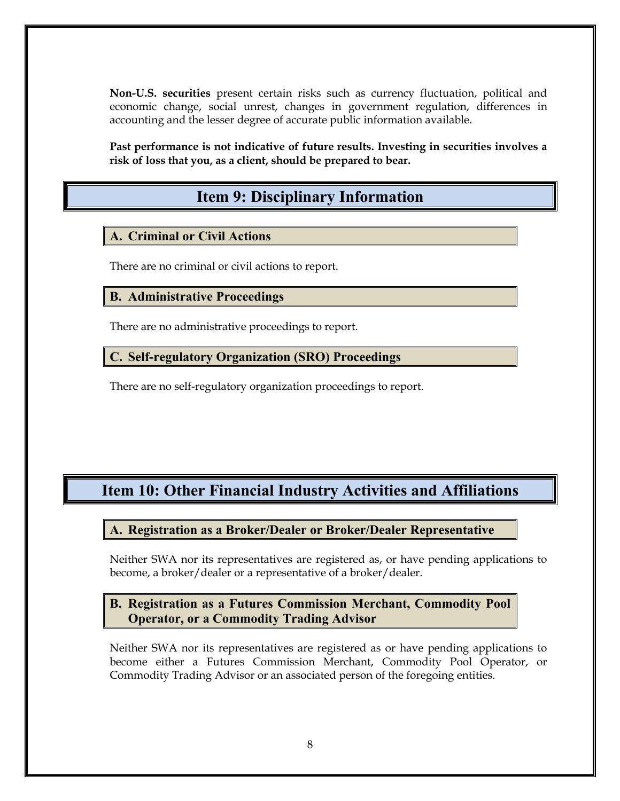**Non-U.S. securities** present certain risks such as currency fluctuation, political and economic change, social unrest, changes in government regulation, differences in accounting and the lesser degree of accurate public information available.

**Past performance is not indicative of future results. Investing in securities involves a risk of loss that you, as a client, should be prepared to bear.**

## **Item 9: Disciplinary Information**

#### **A. Criminal or Civil Actions**

There are no criminal or civil actions to report.

**B. Administrative Proceedings**

There are no administrative proceedings to report.

**C. Self-regulatory Organization (SRO) Proceedings**

There are no self-regulatory organization proceedings to report.

# **Item 10: Other Financial Industry Activities and Affiliations**

#### **A. Registration as a Broker/Dealer or Broker/Dealer Representative**

Neither SWA nor its representatives are registered as, or have pending applications to become, a broker/dealer or a representative of a broker/dealer.

#### **B. Registration as a Futures Commission Merchant, Commodity Pool Operator, or a Commodity Trading Advisor**

Neither SWA nor its representatives are registered as or have pending applications to become either a Futures Commission Merchant, Commodity Pool Operator, or Commodity Trading Advisor or an associated person of the foregoing entities.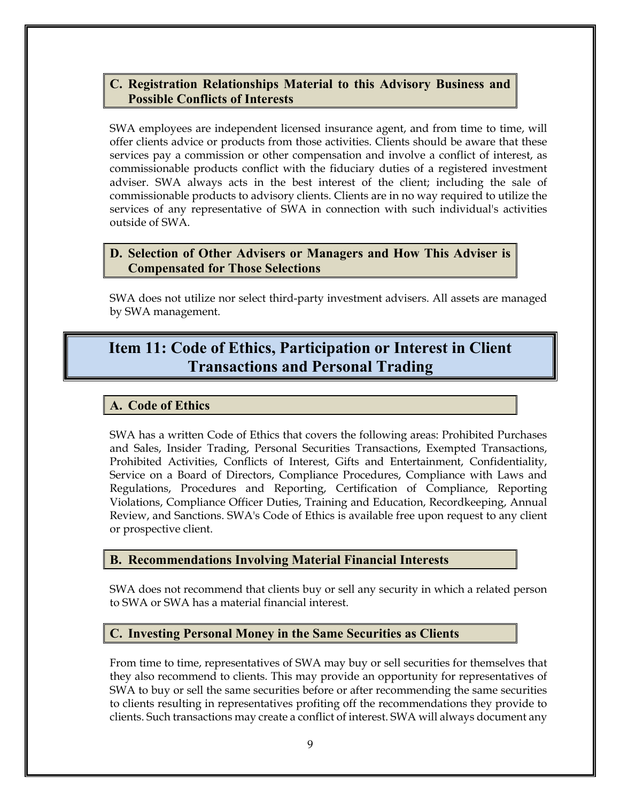#### **C. Registration Relationships Material to this Advisory Business and Possible Conflicts of Interests**

SWA employees are independent licensed insurance agent, and from time to time, will offer clients advice or products from those activities. Clients should be aware that these services pay a commission or other compensation and involve a conflict of interest, as commissionable products conflict with the fiduciary duties of a registered investment adviser. SWA always acts in the best interest of the client; including the sale of commissionable products to advisory clients. Clients are in no way required to utilize the services of any representative of SWA in connection with such individual's activities outside of SWA.

#### **D. Selection of Other Advisers or Managers and How This Adviser is Compensated for Those Selections**

SWA does not utilize nor select third-party investment advisers. All assets are managed by SWA management.

# **Item 11: Code of Ethics, Participation or Interest in Client Transactions and Personal Trading**

#### **A. Code of Ethics**

SWA has a written Code of Ethics that covers the following areas: Prohibited Purchases and Sales, Insider Trading, Personal Securities Transactions, Exempted Transactions, Prohibited Activities, Conflicts of Interest, Gifts and Entertainment, Confidentiality, Service on a Board of Directors, Compliance Procedures, Compliance with Laws and Regulations, Procedures and Reporting, Certification of Compliance, Reporting Violations, Compliance Officer Duties, Training and Education, Recordkeeping, Annual Review, and Sanctions. SWA's Code of Ethics is available free upon request to any client or prospective client.

#### **B. Recommendations Involving Material Financial Interests**

SWA does not recommend that clients buy or sell any security in which a related person to SWA or SWA has a material financial interest.

#### **C. Investing Personal Money in the Same Securities as Clients**

From time to time, representatives of SWA may buy or sell securities for themselves that they also recommend to clients. This may provide an opportunity for representatives of SWA to buy or sell the same securities before or after recommending the same securities to clients resulting in representatives profiting off the recommendations they provide to clients. Such transactions may create a conflict of interest. SWA will always document any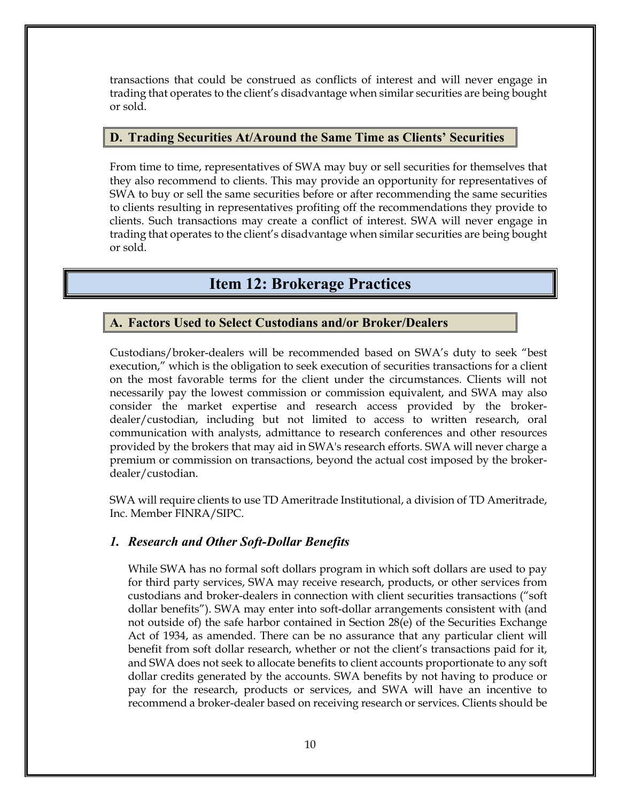transactions that could be construed as conflicts of interest and will never engage in trading that operates to the client's disadvantage when similar securities are being bought or sold.

#### **D. Trading Securities At/Around the Same Time as Clients' Securities**

From time to time, representatives of SWA may buy or sell securities for themselves that they also recommend to clients. This may provide an opportunity for representatives of SWA to buy or sell the same securities before or after recommending the same securities to clients resulting in representatives profiting off the recommendations they provide to clients. Such transactions may create a conflict of interest. SWA will never engage in trading that operates to the client's disadvantage when similar securities are being bought or sold.

## **Item 12: Brokerage Practices**

#### **A. Factors Used to Select Custodians and/or Broker/Dealers**

Custodians/broker-dealers will be recommended based on SWA's duty to seek "best execution," which is the obligation to seek execution of securities transactions for a client on the most favorable terms for the client under the circumstances. Clients will not necessarily pay the lowest commission or commission equivalent, and SWA may also consider the market expertise and research access provided by the brokerdealer/custodian, including but not limited to access to written research, oral communication with analysts, admittance to research conferences and other resources provided by the brokers that may aid in SWA's research efforts. SWA will never charge a premium or commission on transactions, beyond the actual cost imposed by the brokerdealer/custodian.

SWA will require clients to use TD Ameritrade Institutional, a division of TD Ameritrade, Inc. Member FINRA/SIPC.

#### *1. Research and Other Soft-Dollar Benefits*

While SWA has no formal soft dollars program in which soft dollars are used to pay for third party services, SWA may receive research, products, or other services from custodians and broker-dealers in connection with client securities transactions ("soft dollar benefits"). SWA may enter into soft-dollar arrangements consistent with (and not outside of) the safe harbor contained in Section 28(e) of the Securities Exchange Act of 1934, as amended. There can be no assurance that any particular client will benefit from soft dollar research, whether or not the client's transactions paid for it, and SWA does not seek to allocate benefits to client accounts proportionate to any soft dollar credits generated by the accounts. SWA benefits by not having to produce or pay for the research, products or services, and SWA will have an incentive to recommend a broker-dealer based on receiving research or services. Clients should be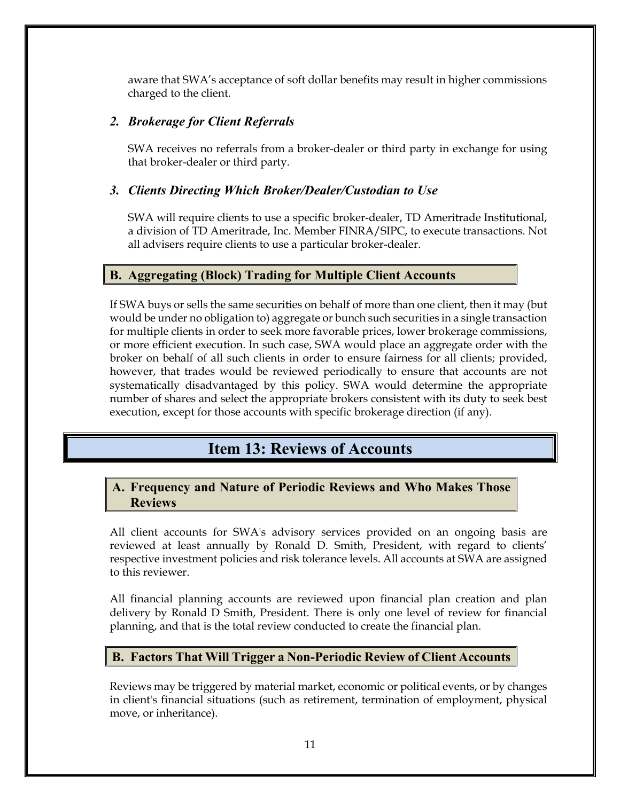aware that SWA's acceptance of soft dollar benefits may result in higher commissions charged to the client.

#### *2. Brokerage for Client Referrals*

SWA receives no referrals from a broker-dealer or third party in exchange for using that broker-dealer or third party.

#### *3. Clients Directing Which Broker/Dealer/Custodian to Use*

SWA will require clients to use a specific broker-dealer, TD Ameritrade Institutional, a division of TD Ameritrade, Inc. Member FINRA/SIPC, to execute transactions. Not all advisers require clients to use a particular broker-dealer.

#### **B. Aggregating (Block) Trading for Multiple Client Accounts**

If SWA buys or sells the same securities on behalf of more than one client, then it may (but would be under no obligation to) aggregate or bunch such securities in a single transaction for multiple clients in order to seek more favorable prices, lower brokerage commissions, or more efficient execution. In such case, SWA would place an aggregate order with the broker on behalf of all such clients in order to ensure fairness for all clients; provided, however, that trades would be reviewed periodically to ensure that accounts are not systematically disadvantaged by this policy. SWA would determine the appropriate number of shares and select the appropriate brokers consistent with its duty to seek best execution, except for those accounts with specific brokerage direction (if any).

## **Item 13: Reviews of Accounts**

#### **A. Frequency and Nature of Periodic Reviews and Who Makes Those Reviews**

All client accounts for SWA's advisory services provided on an ongoing basis are reviewed at least annually by Ronald D. Smith, President, with regard to clients' respective investment policies and risk tolerance levels. All accounts at SWA are assigned to this reviewer.

All financial planning accounts are reviewed upon financial plan creation and plan delivery by Ronald D Smith, President. There is only one level of review for financial planning, and that is the total review conducted to create the financial plan.

#### **B. Factors That Will Trigger a Non-Periodic Review of Client Accounts**

Reviews may be triggered by material market, economic or political events, or by changes in client's financial situations (such as retirement, termination of employment, physical move, or inheritance).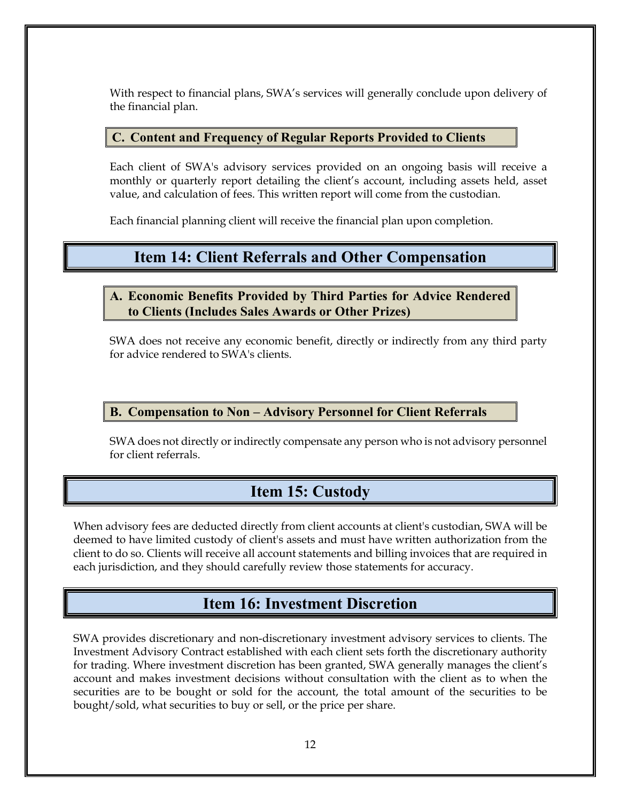With respect to financial plans, SWA's services will generally conclude upon delivery of the financial plan.

#### **C. Content and Frequency of Regular Reports Provided to Clients**

Each client of SWA's advisory services provided on an ongoing basis will receive a monthly or quarterly report detailing the client's account, including assets held, asset value, and calculation of fees. This written report will come from the custodian.

Each financial planning client will receive the financial plan upon completion.

### **Item 14: Client Referrals and Other Compensation**

**A. Economic Benefits Provided by Third Parties for Advice Rendered to Clients (Includes Sales Awards or Other Prizes)**

SWA does not receive any economic benefit, directly or indirectly from any third party for advice rendered to SWA's clients.

#### **B. Compensation to Non – Advisory Personnel for Client Referrals**

SWA does not directly or indirectly compensate any person who is not advisory personnel for client referrals.

## **Item 15: Custody**

When advisory fees are deducted directly from client accounts at client's custodian, SWA will be deemed to have limited custody of client's assets and must have written authorization from the client to do so. Clients will receive all account statements and billing invoices that are required in each jurisdiction, and they should carefully review those statements for accuracy.

## **Item 16: Investment Discretion**

SWA provides discretionary and non-discretionary investment advisory services to clients. The Investment Advisory Contract established with each client sets forth the discretionary authority for trading. Where investment discretion has been granted, SWA generally manages the client's account and makes investment decisions without consultation with the client as to when the securities are to be bought or sold for the account, the total amount of the securities to be bought/sold, what securities to buy or sell, or the price per share.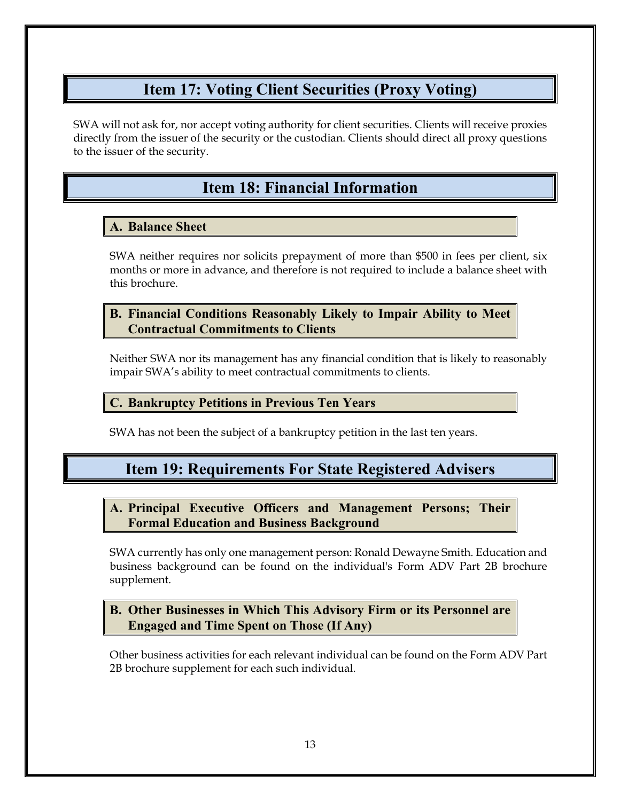# **Item 17: Voting Client Securities (Proxy Voting)**

SWA will not ask for, nor accept voting authority for client securities. Clients will receive proxies directly from the issuer of the security or the custodian. Clients should direct all proxy questions to the issuer of the security.

# **Item 18: Financial Information**

#### **A. Balance Sheet**

SWA neither requires nor solicits prepayment of more than \$500 in fees per client, six months or more in advance, and therefore is not required to include a balance sheet with this brochure.

#### **B. Financial Conditions Reasonably Likely to Impair Ability to Meet Contractual Commitments to Clients**

Neither SWA nor its management has any financial condition that is likely to reasonably impair SWA's ability to meet contractual commitments to clients.

#### **C. Bankruptcy Petitions in Previous Ten Years**

SWA has not been the subject of a bankruptcy petition in the last ten years.

# **Item 19: Requirements For State Registered Advisers**

**A. Principal Executive Officers and Management Persons; Their Formal Education and Business Background** 

SWA currently has only one management person: Ronald Dewayne Smith. Education and business background can be found on the individual's Form ADV Part 2B brochure supplement.

#### **B. Other Businesses in Which This Advisory Firm or its Personnel are Engaged and Time Spent on Those (If Any)**

Other business activities for each relevant individual can be found on the Form ADV Part 2B brochure supplement for each such individual.